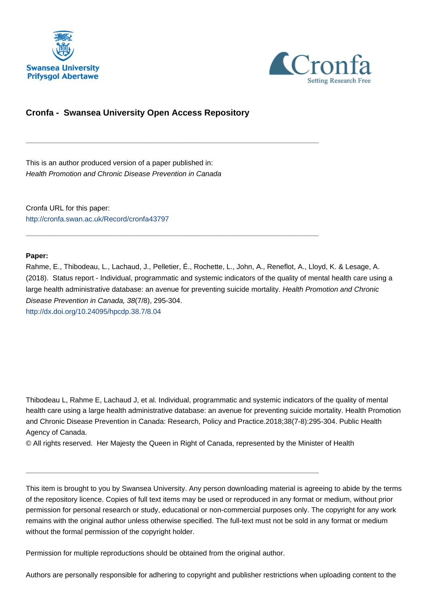



# **Cronfa - Swansea University Open Access Repository**

\_\_\_\_\_\_\_\_\_\_\_\_\_\_\_\_\_\_\_\_\_\_\_\_\_\_\_\_\_\_\_\_\_\_\_\_\_\_\_\_\_\_\_\_\_\_\_\_\_\_\_\_\_\_\_\_\_\_\_\_\_

\_\_\_\_\_\_\_\_\_\_\_\_\_\_\_\_\_\_\_\_\_\_\_\_\_\_\_\_\_\_\_\_\_\_\_\_\_\_\_\_\_\_\_\_\_\_\_\_\_\_\_\_\_\_\_\_\_\_\_\_\_

This is an author produced version of a paper published in: Health Promotion and Chronic Disease Prevention in Canada

Cronfa URL for this paper: <http://cronfa.swan.ac.uk/Record/cronfa43797>

# **Paper:**

Rahme, E., Thibodeau, L., Lachaud, J., Pelletier, É., Rochette, L., John, A., Reneflot, A., Lloyd, K. & Lesage, A. (2018). Status report - Individual, programmatic and systemic indicators of the quality of mental health care using a large health administrative database: an avenue for preventing suicide mortality. Health Promotion and Chronic Disease Prevention in Canada, 38(7/8), 295-304. <http://dx.doi.org/10.24095/hpcdp.38.7/8.04>

Thibodeau L, Rahme E, Lachaud J, et al. Individual, programmatic and systemic indicators of the quality of mental health care using a large health administrative database: an avenue for preventing suicide mortality. Health Promotion and Chronic Disease Prevention in Canada: Research, Policy and Practice.2018;38(7-8):295-304. Public Health Agency of Canada.

© All rights reserved. Her Majesty the Queen in Right of Canada, represented by the Minister of Health

 $\_$  , and the set of the set of the set of the set of the set of the set of the set of the set of the set of the set of the set of the set of the set of the set of the set of the set of the set of the set of the set of th

This item is brought to you by Swansea University. Any person downloading material is agreeing to abide by the terms of the repository licence. Copies of full text items may be used or reproduced in any format or medium, without prior permission for personal research or study, educational or non-commercial purposes only. The copyright for any work remains with the original author unless otherwise specified. The full-text must not be sold in any format or medium without the formal permission of the copyright holder.

Permission for multiple reproductions should be obtained from the original author.

Authors are personally responsible for adhering to copyright and publisher restrictions when uploading content to the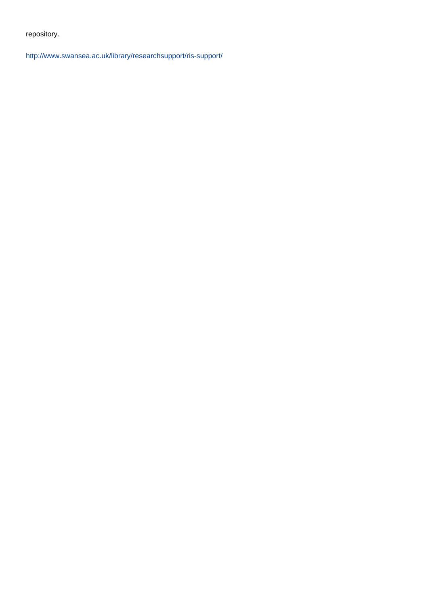repository.

[http://www.swansea.ac.uk/library/researchsupport/ris-support/](http://www.swansea.ac.uk/library/researchsupport/ris-support/ )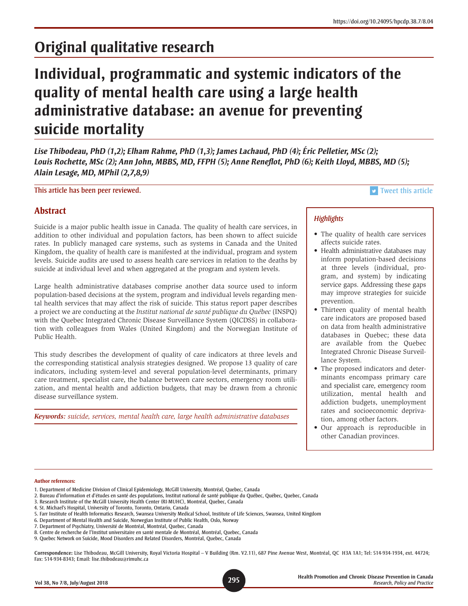# **Original qualitative research**

# **Individual, programmatic and systemic indicators of the quality of mental health care using a large health administrative database: an avenue for preventing suicide mortality**

*Lise Thibodeau, PhD (1,2); Elham Rahme, PhD (1,3); James Lachaud, PhD (4); Éric Pelletier, MSc (2); Louis Rochette, MSc (2); Ann John, MBBS, MD, FFPH (5); Anne Reneflot, PhD (6); Keith Lloyd, MBBS, MD (5); Alain Lesage, MD, MPhil (2,7,8,9)*

This article has been peer reviewed. This article has been peer reviewed.

# **Abstract**

Suicide is a major public health issue in Canada. The quality of health care services, in addition to other individual and population factors, has been shown to affect suicide rates. In publicly managed care systems, such as systems in Canada and the United Kingdom, the quality of health care is manifested at the individual, program and system levels. Suicide audits are used to assess health care services in relation to the deaths by suicide at individual level and when aggregated at the program and system levels.

Large health administrative databases comprise another data source used to inform population-based decisions at the system, program and individual levels regarding mental health services that may affect the risk of suicide. This status report paper describes a project we are conducting at the *Institut national de santé publique du Québec* (INSPQ) with the Quebec Integrated Chronic Disease Surveillance System (QICDSS) in collaboration with colleagues from Wales (United Kingdom) and the Norwegian Institute of Public Health.

This study describes the development of quality of care indicators at three levels and the corresponding statistical analysis strategies designed. We propose 13 quality of care indicators, including system-level and several population-level determinants, primary care treatment, specialist care, the balance between care sectors, emergency room utilization, and mental health and addiction budgets, that may be drawn from a chronic disease surveillance system.

*Keywords: suicide, services, mental health care, large health administrative databases*

# *Highlights*

- The quality of health care services affects suicide rates.
- Health administrative databases may inform population-based decisions at three levels (individual, program, and system) by indicating service gaps. Addressing these gaps may improve strategies for suicide prevention.
- Thirteen quality of mental health care indicators are proposed based on data from health administrative databases in Quebec; these data are available from the Quebec Integrated Chronic Disease Surveillance System.
- The proposed indicators and determinants encompass primary care and specialist care, emergency room utilization, mental health and addiction budgets, unemployment rates and socioeconomic deprivation, among other factors.
- Our approach is reproducible in other Canadian provinces.

#### **Author references:**

- 1. Department of Medicine Division of Clinical Epidemiology, McGill University, Montréal, Quebec, Canada
- 2. Bureau d'information et d'études en santé des populations, Institut national de santé publique du Québec, Québec, Quebec, Canada
- 3. Research Institute of the McGill University Health Center (RI-MUHC), Montréal, Quebec, Canada
- 4. St. Michael's Hospital, University of Toronto, Toronto, Ontario, Canada
- 5. Farr Institute of Health Informatics Research, Swansea University Medical School, Institute of Life Sciences, Swansea, United Kingdom
- 6. Department of Mental Health and Suicide, Norwegian Institute of Public Health, Oslo, Norway
- 7. Department of Psychiatry, Université de Montréal, Montréal, Quebec, Canada
- 8. Centre de recherche de l'Institut universitaire en santé mentale de Montréal, Montréal, Quebec, Canada
- 9. Quebec Network on Suicide, Mood Disorders and Related Disorders, Montréal, Quebec, Canada

**Correspondence:** Lise Thibodeau, McGill University, Royal Victoria Hospital – V Building (Rm. V2.11), 687 Pine Avenue West, Montréal, QC H3A 1A1; Tel: 514-934-1934, ext. 44724; Fax: 514-934-8343; Email: lise.thibodeau@rimuhc.ca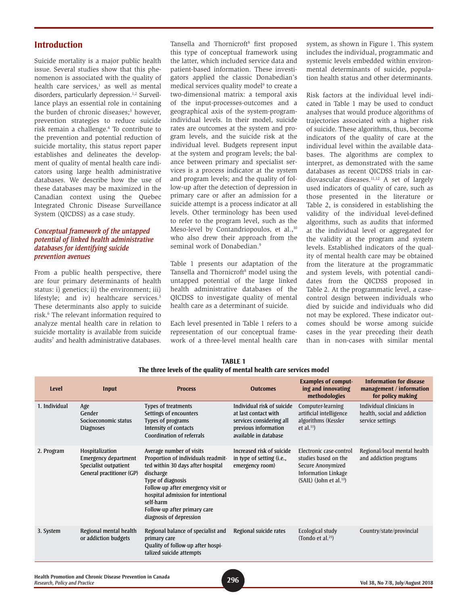# **Introduction**

Suicide mortality is a major public health issue. Several studies show that this phenomenon is associated with the quality of health care services,<sup>1</sup> as well as mental disorders, particularly depression.<sup>1,2</sup> Surveillance plays an essential role in containing the burden of chronic diseases;<sup>3</sup> however, prevention strategies to reduce suicide risk remain a challenge.4 To contribute to the prevention and potential reduction of suicide mortality, this status report paper establishes and delineates the development of quality of mental health care indicators using large health administrative databases. We describe how the use of these databases may be maximized in the Canadian context using the Quebec Integrated Chronic Disease Surveillance System (QICDSS) as a case study.

#### *Conceptual framework of the untapped potential of linked health administrative databases for identifying suicide prevention avenues*

From a public health perspective, there are four primary determinants of health status: i) genetics; ii) the environment; iii) lifestyle; and iv) healthcare services.<sup>5</sup> These determinants also apply to suicide risk.<sup>6</sup> The relevant information required to analyze mental health care in relation to suicide mortality is available from suicide audits<sup>7</sup> and health administrative databases.

Tansella and Thornicroft<sup>8</sup> first proposed this type of conceptual framework using the latter, which included service data and patient-based information. These investigators applied the classic Donabedian's medical services quality model<sup>9</sup> to create a two-dimensional matrix: a temporal axis of the input-processes-outcomes and a geographical axis of the system-programindividual levels. In their model, suicide rates are outcomes at the system and program levels, and the suicide risk at the individual level. Budgets represent input at the system and program levels; the balance between primary and specialist services is a process indicator at the system and program levels; and the quality of follow-up after the detection of depression in primary care or after an admission for a suicide attempt is a process indicator at all levels. Other terminology has been used to refer to the program level, such as the Meso-level by Contandriopoulos, et al.,<sup>10</sup> who also drew their approach from the seminal work of Donabedian.<sup>9</sup>

Table 1 presents our adaptation of the Tansella and Thornicroft<sup>8</sup> model using the untapped potential of the large linked health administrative databases of the QICDSS to investigate quality of mental health care as a determinant of suicide.

Each level presented in Table 1 refers to a representation of our conceptual framework of a three-level mental health care

system, as shown in Figure 1. This system includes the individual, programmatic and systemic levels embedded within environmental determinants of suicide, population health status and other determinants.

Risk factors at the individual level indicated in Table 1 may be used to conduct analyses that would produce algorithms of trajectories associated with a higher risk of suicide. These algorithms, thus, become indicators of the quality of care at the individual level within the available databases. The algorithms are complex to interpret, as demonstrated with the same databases as recent QICDSS trials in cardiovascular diseases. $11,12$  A set of largely used indicators of quality of care, such as those presented in the literature or Table 2, is considered in establishing the validity of the individual level-defined algorithms, such as audits that informed at the individual level or aggregated for the validity at the program and system levels. Established indicators of the quality of mental health care may be obtained from the literature at the programmatic and system levels, with potential candidates from the QICDSS proposed in Table 2. At the programmatic level, a casecontrol design between individuals who died by suicide and individuals who did not may be explored. These indicator outcomes should be worse among suicide cases in the year preceding their death than in non-cases with similar mental

| <b>Level</b>  | Input                                                                                                | <b>Process</b>                                                                                                                                                                                                                                                                            | <b>Outcomes</b>                                                                                                                 | <b>Examples of comput-</b><br>ing and innovating<br>methodologies                                                                         | <b>Information for disease</b><br>management / information<br>for policy making |
|---------------|------------------------------------------------------------------------------------------------------|-------------------------------------------------------------------------------------------------------------------------------------------------------------------------------------------------------------------------------------------------------------------------------------------|---------------------------------------------------------------------------------------------------------------------------------|-------------------------------------------------------------------------------------------------------------------------------------------|---------------------------------------------------------------------------------|
| 1. Individual | Age<br>Gender<br>Socioeconomic status<br><b>Diagnoses</b>                                            | <b>Types of treatments</b><br>Settings of encounters<br>Types of programs<br>Intensity of contacts<br><b>Coordination of referrals</b>                                                                                                                                                    | Individual risk of suicide<br>at last contact with<br>services considering all<br>previous information<br>available in database | Computer-learning<br>artificial intelligence<br>algorithms (Kessler<br>et al. $^{11}$ )                                                   | Individual clinicians in<br>health, social and addiction<br>service settings    |
| 2. Program    | Hospitalization<br><b>Emergency department</b><br>Specialist outpatient<br>General practitioner (GP) | Average number of visits<br>Proportion of individuals readmit-<br>ted within 30 days after hospital<br>discharge<br>Type of diagnosis<br>Follow-up after emergency visit or<br>hospital admission for intentional<br>self-harm<br>Follow-up after primary care<br>diagnosis of depression | Increased risk of suicide<br>in type of setting (i.e.,<br>emergency room)                                                       | Electronic case-control<br>studies based on the<br>Secure Anonymized<br><b>Information Linkage</b><br>(SAIL) (John et al. <sup>13</sup> ) | Regional/local mental health<br>and addiction programs                          |
| 3. System     | Regional mental health<br>or addiction budgets                                                       | Regional balance of specialist and<br>primary care<br>Quality of follow-up after hospi-<br>talized suicide attempts                                                                                                                                                                       | Regional suicide rates                                                                                                          | Ecological study<br>(Tondo et al. <sup>21</sup> )                                                                                         | Country/state/provincial                                                        |
|               |                                                                                                      |                                                                                                                                                                                                                                                                                           |                                                                                                                                 |                                                                                                                                           |                                                                                 |

#### **TABLE 1 The three levels of the quality of mental health care services model**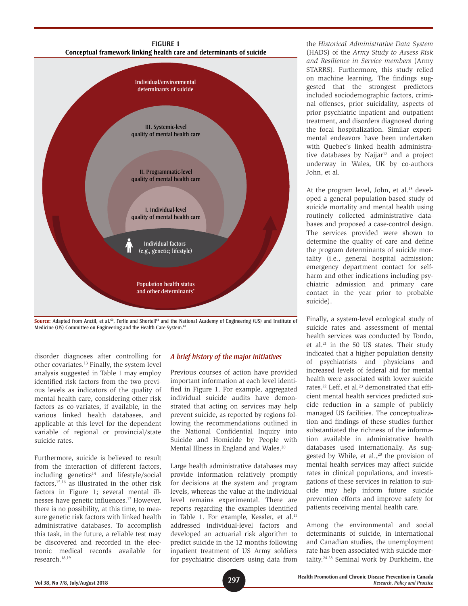

Source: Adapted from Anctil, et al.<sup>60</sup>, Ferlie and Shortell<sup>61</sup> and the National Academy of Engineering (US) and Institute of Medicine (US) Committee on Engineering and the Health Care System.<sup>62</sup>

disorder diagnoses after controlling for other covariates.13 Finally, the system-level analysis suggested in Table 1 may employ identified risk factors from the two previous levels as indicators of the quality of mental health care, considering other risk factors as co-variates, if available, in the various linked health databases, and applicable at this level for the dependent variable of regional or provincial/state suicide rates.

Furthermore, suicide is believed to result from the interaction of different factors,  $including$  genetics<sup>14</sup> and lifestyle/social factors,15,16 as illustrated in the other risk factors in Figure 1; several mental illnesses have genetic influences.17 However, there is no possibility, at this time, to measure genetic risk factors with linked health administrative databases. To accomplish this task, in the future, a reliable test may be discovered and recorded in the electronic medical records available for research.18,19

#### *A brief history of the major initiatives*

Previous courses of action have provided important information at each level identified in Figure 1. For example, aggregated individual suicide audits have demonstrated that acting on services may help prevent suicide, as reported by regions following the recommendations outlined in the National Confidential Inquiry into Suicide and Homicide by People with Mental Illness in England and Wales.<sup>20</sup>

Large health administrative databases may provide information relatively promptly for decisions at the system and program levels, whereas the value at the individual level remains experimental. There are reports regarding the examples identified in Table 1. For example, Kessler, et al.<sup>11</sup> addressed individual-level factors and developed an actuarial risk algorithm to predict suicide in the 12 months following inpatient treatment of US Army soldiers for psychiatric disorders using data from

the *Historical Administrative Data System*  (HADS) of the *Army Study to Assess Risk and Resilience in Service members* (Army STARRS). Furthermore, this study relied on machine learning. The findings suggested that the strongest predictors included sociodemographic factors, criminal offenses, prior suicidality, aspects of prior psychiatric inpatient and outpatient treatment, and disorders diagnosed during the focal hospitalization. Similar experimental endeavors have been undertaken with Quebec's linked health administrative databases by Najja $r<sup>12</sup>$  and a project underway in Wales, UK by co-authors John, et al.

At the program level, John, et al.<sup>13</sup> developed a general population-based study of suicide mortality and mental health using routinely collected administrative databases and proposed a case-control design. The services provided were shown to determine the quality of care and define the program determinants of suicide mortality (i.e., general hospital admission; emergency department contact for selfharm and other indications including psychiatric admission and primary care contact in the year prior to probable suicide).

Finally, a system-level ecological study of suicide rates and assessment of mental health services was conducted by Tondo, et al.21 in the 50 US states. Their study indicated that a higher population density of psychiatrists and physicians and increased levels of federal aid for mental health were associated with lower suicide rates.<sup>22</sup> Leff, et al.<sup>23</sup> demonstrated that efficient mental health services predicted suicide reduction in a sample of publicly managed US facilities. The conceptualization and findings of these studies further substantiated the richness of the information available in administrative health databases used internationally. As suggested by While, et al., $20$  the provision of mental health services may affect suicide rates in clinical populations, and investigations of these services in relation to suicide may help inform future suicide prevention efforts and improve safety for patients receiving mental health care.

Among the environmental and social determinants of suicide, in international and Canadian studies, the unemployment rate has been associated with suicide mortality.24-28 Seminal work by Durkheim, the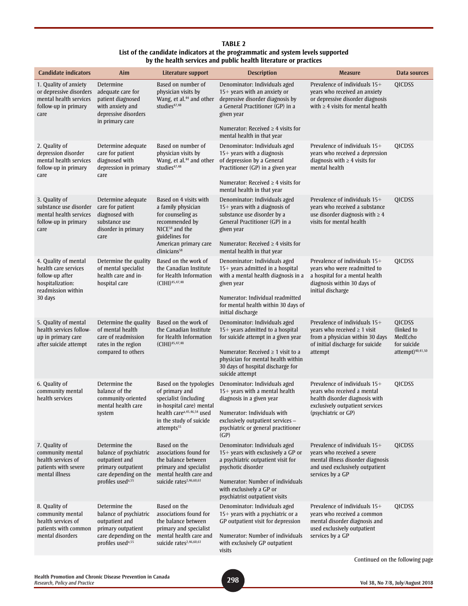| <b>TABLE 2</b>                                                                   |
|----------------------------------------------------------------------------------|
| List of the candidate indicators at the programmatic and system levels supported |
| by the health services and public health literature or practices                 |

| <b>Candidate indicators</b>                                                                                          | Aim                                                                                                                                       | Literature support                                                                                                                                                                            | <b>Description</b>                                                                                                                                                                                                                                  | <b>Measure</b>                                                                                                                                             | Data sources                                                                   |
|----------------------------------------------------------------------------------------------------------------------|-------------------------------------------------------------------------------------------------------------------------------------------|-----------------------------------------------------------------------------------------------------------------------------------------------------------------------------------------------|-----------------------------------------------------------------------------------------------------------------------------------------------------------------------------------------------------------------------------------------------------|------------------------------------------------------------------------------------------------------------------------------------------------------------|--------------------------------------------------------------------------------|
| 1. Quality of anxiety<br>or depressive disorders<br>mental health services<br>follow-up in primary<br>care           | Determine<br>adequate care for<br>patient diagnosed<br>with anxiety and<br>depressive disorders<br>in primary care                        | Based on number of<br>physician visits by<br>Wang, et al. <sup>44</sup> and other<br>studies <sup>47,48</sup>                                                                                 | Denominator: Individuals aged<br>15+ years with an anxiety or<br>depressive disorder diagnosis by<br>a General Practitioner (GP) in a<br>given year                                                                                                 | Prevalence of individuals 15+<br>years who received an anxiety<br>or depressive disorder diagnosis<br>with $\geq 4$ visits for mental health               | QICDSS                                                                         |
|                                                                                                                      |                                                                                                                                           |                                                                                                                                                                                               | Numerator: Received $\geq 4$ visits for<br>mental health in that year                                                                                                                                                                               |                                                                                                                                                            |                                                                                |
| 2. Quality of<br>depression disorder<br>mental health services<br>follow-up in primary<br>care                       | Determine adequate<br>care for patient<br>diagnosed with<br>depression in primary<br>care                                                 | Based on number of<br>physician visits by<br>Wang, et al. <sup>44</sup> and other<br>studies <sup>47,48</sup>                                                                                 | Denominator: Individuals aged<br>$15+$ years with a diagnosis<br>of depression by a General<br>Practitioner (GP) in a given year                                                                                                                    | Prevalence of individuals 15+<br>years who received a depression<br>diagnosis with $\geq 4$ visits for<br>mental health                                    | QICDSS                                                                         |
|                                                                                                                      |                                                                                                                                           |                                                                                                                                                                                               | Numerator: Received $\geq 4$ visits for<br>mental health in that year                                                                                                                                                                               |                                                                                                                                                            |                                                                                |
| 3. Quality of<br>substance use disorder<br>mental health services<br>follow-up in primary<br>care                    | Determine adequate<br>care for patient<br>diagnosed with<br>substance use<br>disorder in primary<br>care                                  | Based on 4 visits with<br>a family physician<br>for counseling as<br>recommended by<br>NICE <sup>58</sup> and the<br>guidelines for<br>American primary care<br>clinicians <sup>58</sup>      | Denominator: Individuals aged<br>15+ years with a diagnosis of<br>substance use disorder by a<br>General Practitioner (GP) in a<br>given year<br>Numerator: Received $\geq$ 4 visits for<br>mental health in that year                              | Prevalence of individuals 15+<br>years who received a substance<br>use disorder diagnosis with $\geq 4$<br>visits for mental health                        | <b>QICDSS</b>                                                                  |
| 4. Quality of mental<br>health care services<br>follow-up after<br>hospitalization:<br>readmission within<br>30 days | Determine the quality<br>of mental specialist<br>health care and in-<br>hospital care                                                     | Based on the work of<br>the Canadian Institute<br>for Health Information<br>$(CIHI)^{45,47,48}$                                                                                               | Denominator: Individuals aged<br>15+ years admitted in a hospital<br>with a mental health diagnosis in a<br>given year<br>Numerator: Individual readmitted<br>for mental health within 30 days of<br>initial discharge                              | Prevalence of individuals $15+$<br>years who were readmitted to<br>a hospital for a mental health<br>diagnosis within 30 days of<br>initial discharge      | <b>OICDSS</b>                                                                  |
| 5. Quality of mental<br>health services follow-<br>up in primary care<br>after suicide attempt                       | Determine the quality<br>of mental health<br>care of readmission<br>rates in the region<br>compared to others                             | Based on the work of<br>the Canadian Institute<br>for Health Information<br>$(CIHI)$ <sup>45,47,48</sup>                                                                                      | Denominator: Individuals aged<br>$15+$ years admitted to a hospital<br>for suicide attempt in a given year<br>Numerator: Received $\geq 1$ visit to a<br>physician for mental health within<br>30 days of hospital discharge for<br>suicide attempt | Prevalence of individuals 15+<br>years who received $\geq 1$ visit<br>from a physician within 30 days<br>of initial discharge for suicide<br>attempt       | QICDSS<br>(linked to<br>MedEcho<br>for suicide<br>attempt) <sup>40,41,50</sup> |
| 6. Quality of<br>community mental<br>health services                                                                 | Determine the<br>balance of the<br>community-oriented<br>mental health care<br>system                                                     | Based on the typologies<br>of primary and<br>specialist (including<br>in-hospital care) mental<br>health care <sup>a,45,46,54</sup> used<br>in the study of suicide<br>attempts <sup>55</sup> | Denominator: Individuals aged<br>$15+$ years with a mental health<br>diagnosis in a given year<br>Numerator: Individuals with<br>exclusively outpatient services -<br>psychiatric or general practitioner<br>(GP)                                   | Prevalence of individuals 15+<br>years who received a mental<br>health disorder diagnosis with<br>exclusively outpatient services<br>(psychiatric or GP)   | QICDSS                                                                         |
| 7. Quality of<br>community mental<br>health services of<br>patients with severe<br>mental illness                    | Determine the<br>balance of psychiatric<br>outpatient and<br>primary outpatient<br>care depending on the<br>profiles used <sup>a,55</sup> | Based on the<br>associations found for<br>the balance between<br>primary and specialist<br>mental health care and<br>suicide rates <sup>2,46,60,61</sup>                                      | Denominator: Individuals aged<br>15+ years with exclusively a GP or<br>a psychiatric outpatient visit for<br>psychotic disorder<br>Numerator: Number of individuals<br>with exclusively a GP or<br>psychiatrist outpatient visits                   | Prevalence of individuals $15+$<br>years who received a severe<br>mental illness disorder diagnosis<br>and used exclusively outpatient<br>services by a GP | <b>QICDSS</b>                                                                  |
| 8. Quality of<br>community mental<br>health services of<br>patients with common<br>mental disorders                  | Determine the<br>balance of psychiatric<br>outpatient and<br>primary outpatient<br>care depending on the<br>profiles used <sup>a,55</sup> | Based on the<br>associations found for<br>the balance between<br>primary and specialist<br>mental health care and<br>suicide rates <sup>2,46,60,61</sup>                                      | Denominator: Individuals aged<br>15+ years with a psychiatric or a<br>GP outpatient visit for depression<br>Numerator: Number of individuals<br>with exclusively GP outpatient<br>visits                                                            | Prevalence of individuals 15+<br>years who received a common<br>mental disorder diagnosis and<br>used exclusively outpatient<br>services by a GP           | <b>QICDSS</b><br>Continued on the following page                               |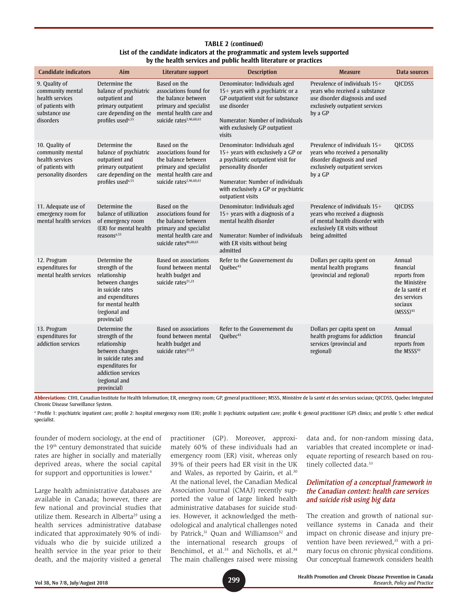#### **TABLE 2 (continued) List of the candidate indicators at the programmatic and system levels supported by the health services and public health literature or practices**

| <b>Candidate indicators</b>                                                                            | <b>Aim</b>                                                                                                                                                            | Literature support                                                                                                                                       | <b>Description</b>                                                                                                                                                                                                                   | <b>Measure</b>                                                                                                                                         | Data sources                                                                                                              |
|--------------------------------------------------------------------------------------------------------|-----------------------------------------------------------------------------------------------------------------------------------------------------------------------|----------------------------------------------------------------------------------------------------------------------------------------------------------|--------------------------------------------------------------------------------------------------------------------------------------------------------------------------------------------------------------------------------------|--------------------------------------------------------------------------------------------------------------------------------------------------------|---------------------------------------------------------------------------------------------------------------------------|
| 9. Quality of<br>community mental<br>health services<br>of patients with<br>substance use<br>disorders | Determine the<br>balance of psychiatric<br>outpatient and<br>primary outpatient<br>care depending on the<br>profiles used <sup>a,55</sup>                             | Based on the<br>associations found for<br>the balance between<br>primary and specialist<br>mental health care and<br>suicide rates <sup>2,46,60,61</sup> | Denominator: Individuals aged<br>15+ years with a psychiatric or a<br>GP outpatient visit for substance<br>use disorder<br>Numerator: Number of individuals<br>with exclusively GP outpatient<br>visits                              | Prevalence of individuals $15+$<br>years who received a substance<br>use disorder diagnosis and used<br>exclusively outpatient services<br>by a GP     | <b>QICDSS</b>                                                                                                             |
| 10. Quality of<br>community mental<br>health services<br>of patients with<br>personality disorders     | Determine the<br>balance of psychiatric<br>outpatient and<br>primary outpatient<br>care depending on the<br>profiles used <sup>a,55</sup>                             | Based on the<br>associations found for<br>the balance between<br>primary and specialist<br>mental health care and<br>suicide rates <sup>2,46,60,61</sup> | Denominator: Individuals aged<br>$15+$ years with exclusively a GP or<br>a psychiatric outpatient visit for<br>personality disorder<br>Numerator: Number of individuals<br>with exclusively a GP or psychiatric<br>outpatient visits | Prevalence of individuals $15+$<br>years who received a personality<br>disorder diagnosis and used<br>exclusively outpatient services<br>by a GP       | <b>QICDSS</b>                                                                                                             |
| 11. Adequate use of<br>emergency room for<br>mental health services                                    | Determine the<br>balance of utilization<br>of emergency room<br>(ER) for mental health<br>reasons <sup>a,55</sup>                                                     | Based on the<br>associations found for<br>the balance between<br>primary and specialist<br>mental health care and<br>suicide rates46,60,61               | Denominator: Individuals aged<br>$15+$ years with a diagnosis of a<br>mental health disorder<br>Numerator: Number of individuals<br>with ER visits without being<br>admitted                                                         | Prevalence of individuals $15+$<br>years who received a diagnosis<br>of mental health disorder with<br>exclusively ER visits without<br>being admitted | <b>QICDSS</b>                                                                                                             |
| 12. Program<br>expenditures for<br>mental health services                                              | Determine the<br>strength of the<br>relationship<br>between changes<br>in suicide rates<br>and expenditures<br>for mental health<br>(regional and<br>provincial)      | <b>Based on associations</b><br>found between mental<br>health budget and<br>suicide rates <sup>21,23</sup>                                              | Refer to the Gouvernement du<br>Québec <sup>43</sup>                                                                                                                                                                                 | Dollars per capita spent on<br>mental health programs<br>(provincial and regional)                                                                     | Annual<br>financial<br>reports from<br>the Ministère<br>de la santé et<br>des services<br>sociaux<br>(MSSS) <sup>43</sup> |
| 13. Program<br>expenditures for<br>addiction services                                                  | Determine the<br>strength of the<br>relationship<br>between changes<br>in suicide rates and<br>expenditures for<br>addiction services<br>(regional and<br>provincial) | <b>Based on associations</b><br>found between mental<br>health budget and<br>suicide rates <sup>21,23</sup>                                              | Refer to the Gouvernement du<br>Québec <sup>43</sup>                                                                                                                                                                                 | Dollars per capita spent on<br>health programs for addiction<br>services (provincial and<br>regional)                                                  | Annual<br>financial<br>reports from<br>the MSSS <sup>43</sup>                                                             |

**Abbreviations:** CIHI, Canadian Institute for Health Information; ER, emergency room; GP, general practitioner; MSSS, Ministère de la santé et des services sociaux; QICDSS, Quebec Integrated Chronic Disease Surveillance System.

<sup>a</sup> Profile 1: psychiatric inpatient care; profile 2: hospital emergency room (ER); profile 3: psychiatric outpatient care; profile 4: general practitioner (GP) clinics; and profile 5: other medical specialist.

founder of modern sociology, at the end of the 19<sup>th</sup> century demonstrated that suicide rates are higher in socially and materially deprived areas, where the social capital for support and opportunities is lower.<sup>6</sup>

Large health administrative databases are available in Canada; however, there are few national and provincial studies that utilize them. Research in Alberta<sup>29</sup> using a health services administrative database indicated that approximately 90% of individuals who die by suicide utilized a health service in the year prior to their death, and the majority visited a general practitioner (GP). Moreover, approximately 60% of these individuals had an emergency room (ER) visit, whereas only 39% of their peers had ER visit in the UK and Wales, as reported by Gairin, et al.30 At the national level, the Canadian Medical Association Journal (CMAJ) recently supported the value of large linked health administrative databases for suicide studies. However, it acknowledged the methodological and analytical challenges noted by Patrick,<sup>31</sup> Quan and Williamson<sup>32</sup> and the international research groups of Benchimol, et al.<sup>33</sup> and Nicholls, et al.<sup>34</sup> The main challenges raised were missing

data and, for non-random missing data, variables that created incomplete or inadequate reporting of research based on routinely collected data.<sup>33</sup>

## *Delimitation of a conceptual framework in the Canadian context: health care services and suicide risk using big data*

The creation and growth of national surveillance systems in Canada and their impact on chronic disease and injury prevention have been reviewed,<sup>35</sup> with a primary focus on chronic physical conditions. Our conceptual framework considers health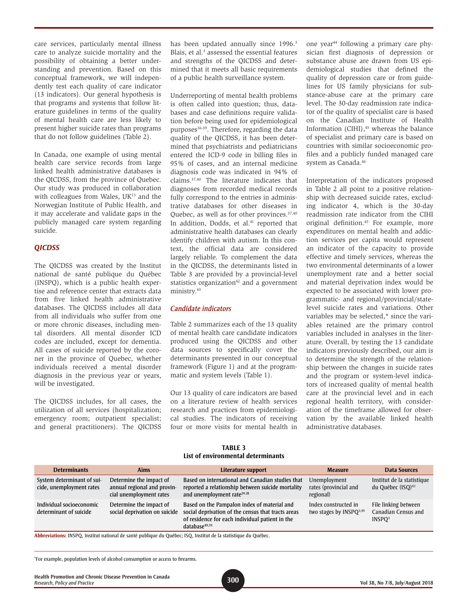care services, particularly mental illness care to analyze suicide mortality and the possibility of obtaining a better understanding and prevention. Based on this conceptual framework, we will independently test each quality of care indicator (13 indicators). Our general hypothesis is that programs and systems that follow literature guidelines in terms of the quality of mental health care are less likely to present higher suicide rates than programs that do not follow guidelines (Table 2).

In Canada, one example of using mental health care service records from large linked health administrative databases is the QICDSS, from the province of Quebec. Our study was produced in collaboration with colleagues from Wales, UK<sup>13</sup> and the Norwegian Institute of Public Health, and it may accelerate and validate gaps in the publicly managed care system regarding suicide.

#### *QICDSS*

The QICDSS was created by the Institut national de santé publique du Québec (INSPQ), which is a public health expertise and reference center that extracts data from five linked health administrative databases. The QICDSS includes all data from all individuals who suffer from one or more chronic diseases, including mental disorders. All mental disorder ICD codes are included, except for dementia. All cases of suicide reported by the coroner in the province of Quebec, whether individuals received a mental disorder diagnosis in the previous year or years, will be investigated.

The QICDSS includes, for all cases, the utilization of all services (hospitalization; emergency room; outpatient specialist; and general practitioners). The QICDSS has been updated annually since 1996.<sup>3</sup> Blais, et al.<sup>3</sup> assessed the essential features and strengths of the QICDSS and determined that it meets all basic requirements of a public health surveillance system.

Underreporting of mental health problems is often called into question; thus, databases and case definitions require validation before being used for epidemiological purposes<sup>36-39</sup>. Therefore, regarding the data quality of the QICDSS, it has been determined that psychiatrists and pediatricians entered the ICD-9 code in billing files in 95% of cases, and an internal medicine diagnosis code was indicated in 94% of claims.37,40 The literature indicates that diagnoses from recorded medical records fully correspond to the entries in administrative databases for other diseases in Quebec, as well as for other provinces.37,40 In addition, Dodds, et al.<sup>41</sup> reported that administrative health databases can clearly identify children with autism. In this context, the official data are considered largely reliable. To complement the data in the QICDSS, the determinants listed in Table 3 are provided by a provincial-level statistics organization<sup>42</sup> and a government ministry.43

#### *Candidate indicators*

Table 2 summarizes each of the 13 quality of mental health care candidate indicators produced using the QICDSS and other data sources to specifically cover the determinants presented in our conceptual framework (Figure 1) and at the programmatic and system levels (Table 1).

Our 13 quality of care indicators are based on a literature review of health services research and practices from epidemiological studies. The indicators of receiving four or more visits for mental health in one year44 following a primary care physician first diagnosis of depression or substance abuse are drawn from US epidemiological studies that defined the quality of depression care or from guidelines for US family physicians for substance-abuse care at the primary care level. The 30-day readmission rate indicator of the quality of specialist care is based on the Canadian Institute of Health Information (CIHI), $45$  whereas the balance of specialist and primary care is based on countries with similar socioeconomic profiles and a publicly funded managed care system as Canada.46

Interpretation of the indicators proposed in Table 2 all point to a positive relationship with decreased suicide rates, excluding indicator 4, which is the 30-day readmission rate indicator from the CIHI original definition.45 For example, more expenditures on mental health and addiction services per capita would represent an indicator of the capacity to provide effective and timely services, whereas the two environmental determinants of a lower unemployment rate and a better social and material deprivation index would be expected to be associated with lower programmatic- and regional/provincial/statelevel suicide rates and variations. Other variables may be selected,<sup>\*</sup> since the variables retained are the primary control variables included in analyses in the literature. Overall, by testing the 13 candidate indicators previously described, our aim is to determine the strength of the relationship between the changes in suicide rates and the program or system-level indicators of increased quality of mental health care at the provincial level and in each regional health territory, with consideration of the timeframe allowed for observation by the available linked health administrative databases.

| <b>TABLE 3</b>                     |
|------------------------------------|
| List of environmental determinants |

| <b>Determinants</b>                                                                                             | <b>Aims</b>                                                                       | Literature support                                                                                                                                                                | <b>Measure</b>                                              | Data Sources                                                      |  |  |  |
|-----------------------------------------------------------------------------------------------------------------|-----------------------------------------------------------------------------------|-----------------------------------------------------------------------------------------------------------------------------------------------------------------------------------|-------------------------------------------------------------|-------------------------------------------------------------------|--|--|--|
| System determinant of sui-<br>cide, unemployment rates                                                          | Determine the impact of<br>annual regional and provin-<br>cial unemployment rates | Based on international and Canadian studies that<br>reported a relationship between suicide mortality<br>and unemployment rate <sup>24-28</sup>                                   | Unemployment<br>rates (provincial and<br>regional)          | Institut de la statistique<br>du Québec (ISQ) <sup>42</sup>       |  |  |  |
| Individual socioeconomic<br>determinant of suicide                                                              | Determine the impact of<br>social deprivation on suicide                          | Based on the Pampalon index of material and<br>social deprivation of the census that tracts areas<br>of residence for each individual patient in the<br>database <sup>49,59</sup> | Index constructed in<br>two stages by INSPQ <sup>3,49</sup> | File linking between<br>Canadian Census and<br>INSPO <sup>3</sup> |  |  |  |
| Abbreviations: INSPQ, Institut national de santé publique du Québec; ISQ, Institut de la statistique du Québec. |                                                                                   |                                                                                                                                                                                   |                                                             |                                                                   |  |  |  |

\*For example, population levels of alcohol consumption or access to firearms.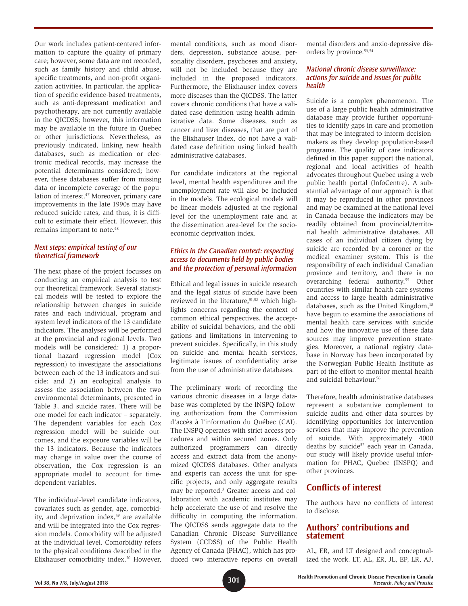Our work includes patient-centered information to capture the quality of primary care; however, some data are not recorded, such as family history and child abuse, specific treatments, and non-profit organization activities. In particular, the application of specific evidence-based treatments, such as anti-depressant medication and psychotherapy, are not currently available in the QICDSS; however, this information may be available in the future in Quebec or other jurisdictions. Nevertheless, as previously indicated, linking new health databases, such as medication or electronic medical records, may increase the potential determinants considered; however, these databases suffer from missing data or incomplete coverage of the population of interest.<sup>47</sup> Moreover, primary care improvements in the late 1990s may have reduced suicide rates, and thus, it is difficult to estimate their effect. However, this remains important to note.<sup>48</sup>

## *Next steps: empirical testing of our theoretical framework*

The next phase of the project focusses on conducting an empirical analysis to test our theoretical framework. Several statistical models will be tested to explore the relationship between changes in suicide rates and each individual, program and system level indicators of the 13 candidate indicators. The analyses will be performed at the provincial and regional levels. Two models will be considered: 1) a proportional hazard regression model (Cox regression) to investigate the associations between each of the 13 indicators and suicide; and 2) an ecological analysis to assess the association between the two environmental determinants, presented in Table 3, and suicide rates. There will be one model for each indicator – separately. The dependent variables for each Cox regression model will be suicide outcomes, and the exposure variables will be the 13 indicators. Because the indicators may change in value over the course of observation, the Cox regression is an appropriate model to account for timedependent variables.

The individual-level candidate indicators, covariates such as gender, age, comorbidity, and deprivation index,<sup>49</sup> are available and will be integrated into the Cox regression models. Comorbidity will be adjusted at the individual level. Comorbidity refers to the physical conditions described in the Elixhauser comorbidity index.<sup>50</sup> However, mental conditions, such as mood disorders, depression, substance abuse, personality disorders, psychoses and anxiety, will not be included because they are included in the proposed indicators. Furthermore, the Elixhauser index covers more diseases than the QICDSS. The latter covers chronic conditions that have a validated case definition using health administrative data. Some diseases, such as cancer and liver diseases, that are part of the Elixhauser Index, do not have a validated case definition using linked health administrative databases.

For candidate indicators at the regional level, mental health expenditures and the unemployment rate will also be included in the models. The ecological models will be linear models adjusted at the regional level for the unemployment rate and at the dissemination area-level for the socioeconomic deprivation index.

### *Ethics in the Canadian context: respecting access to documents held by public bodies and the protection of personal information*

Ethical and legal issues in suicide research and the legal status of suicide have been reviewed in the literature,<sup>51,52</sup> which highlights concerns regarding the context of common ethical perspectives, the acceptability of suicidal behaviors, and the obligations and limitations in intervening to prevent suicides. Specifically, in this study on suicide and mental health services, legitimate issues of confidentiality arise from the use of administrative databases.

The preliminary work of recording the various chronic diseases in a large database was completed by the INSPQ following authorization from the Commission d'accès à l'information du Québec (CAI). The INSPQ operates with strict access procedures and within secured zones. Only authorized programmers can directly access and extract data from the anonymized QICDSS databases. Other analysts and experts can access the unit for specific projects, and only aggregate results may be reported.<sup>3</sup> Greater access and collaboration with academic institutes may help accelerate the use of and resolve the difficulty in computing the information. The QICDSS sends aggregate data to the Canadian Chronic Disease Surveillance System (CCDSS) of the Public Health Agency of Canada (PHAC), which has produced two interactive reports on overall

mental disorders and anxio-depressive disorders by province.<sup>53,54</sup>

#### *National chronic disease surveillance: actions for suicide and issues for public health*

Suicide is a complex phenomenon. The use of a large public health administrative database may provide further opportunities to identify gaps in care and promotion that may be integrated to inform decisionmakers as they develop population-based programs. The quality of care indicators defined in this paper support the national, regional and local activities of health advocates throughout Quebec using a web public health portal (InfoCentre). A substantial advantage of our approach is that it may be reproduced in other provinces and may be examined at the national level in Canada because the indicators may be readily obtained from provincial/territorial health administrative databases. All cases of an individual citizen dying by suicide are recorded by a coroner or the medical examiner system. This is the responsibility of each individual Canadian province and territory, and there is no overarching federal authority.55 Other countries with similar health care systems and access to large health administrative databases, such as the United Kingdom,<sup>13</sup> have begun to examine the associations of mental health care services with suicide and how the innovative use of these data sources may improve prevention strategies. Moreover, a national registry database in Norway has been incorporated by the Norwegian Public Health Institute as part of the effort to monitor mental health and suicidal behaviour.<sup>56</sup>

Therefore, health administrative databases represent a substantive complement to suicide audits and other data sources by identifying opportunities for intervention services that may improve the prevention of suicide. With approximately 4000 deaths by suicide<sup>57</sup> each year in Canada, our study will likely provide useful information for PHAC, Quebec (INSPQ) and other provinces.

# **Conflicts of interest**

The authors have no conflicts of interest to disclose.

# **Authors' contributions and statement**

AL, ER, and LT designed and conceptualized the work. LT, AL, ER, JL, EP, LR, AJ,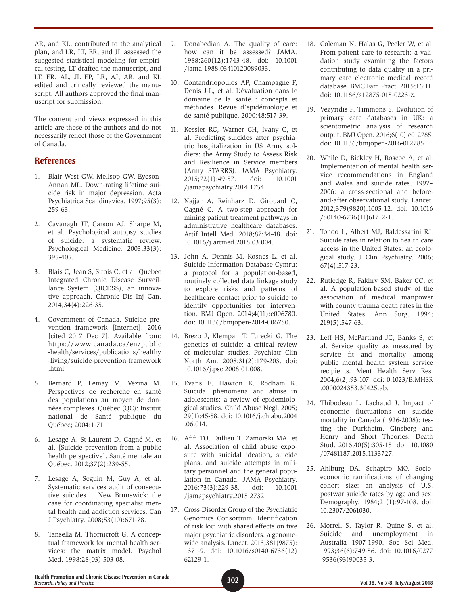AR, and KL, contributed to the analytical plan, and LR, LT, ER, and JL assessed the suggested statistical modeling for empirical testing. LT drafted the manuscript, and LT, ER, AL, JL EP, LR, AJ, AR, and KL edited and critically reviewed the manuscript. All authors approved the final manuscript for submission.

The content and views expressed in this article are those of the authors and do not necessarily reflect those of the Government of Canada.

# **References**

- 1. Blair-West GW, Mellsop GW, Eyeson-Annan ML. Down-rating lifetime suicide risk in major depression. Acta Psychiatrica Scandinavica. 1997;95(3): 259-63.
- 2. Cavanagh JT, Carson AJ, Sharpe M, et al. Psychological autopsy studies of suicide: a systematic review. Psychological Medicine. 2003;33(3): 395-405.
- 3. Blais C, Jean S, Sirois C, et al. Quebec Integrated Chronic Disease Surveillance System (QICDSS), an innovative approach. Chronic Dis Inj Can. 2014;34(4):226-35.
- 4. Government of Canada. Suicide prevention framework [Internet]. 2016 [cited 2017 Dec 7]. Available from: https://www.canada.ca/en/public -health/services/publications/healthy -living/suicide-prevention-framework .html
- 5. Bernard P, Lemay M, Vézina M. Perspectives de recherche en santé des populations au moyen de données complexes. Québec (QC): Institut national de Santé publique du Québec; 2004:1-71.
- 6. Lesage A, St-Laurent D, Gagné M, et al. [Suicide prevention from a public health perspective]. Santé mentale au Québec. 2012;37(2):239-55.
- 7. Lesage A, Seguin M, Guy A, et al. Systematic services audit of consecutive suicides in New Brunswick: the case for coordinating specialist mental health and addiction services. Can J Psychiatry. 2008;53(10):671-78.
- 8. Tansella M, Thornicroft G. A conceptual framework for mental health services: the matrix model. Psychol Med. 1998;28(03):503-08.
- 9. Donabedian A. The quality of care: how can it be assessed? JAMA. 1988;260(12):1743-48. doi: 10.1001 /jama.1988.03410120089033.
- 10. Contandriopoulos AP, Champagne F, Denis J-L, et al. L'évaluation dans le domaine de la santé : concepts et méthodes. Revue d'épidémiologie et de santé publique. 2000;48:517-39.
- 11. Kessler RC, Warner CH, Ivany C, et al. Predicting suicides after psychiatric hospitalization in US Army soldiers: the Army Study to Assess Risk and Resilience in Service members (Army STARRS). JAMA Psychiatry. 2015;72(1):49-57. doi: 10.1001 /jamapsychiatry.2014.1754.
- 12. Najjar A, Reinharz D, Girouard C, Gagné C. A two-step approach for mining patient treatment pathways in administrative healthcare databases. Artif Intell Med. 2018;87:34-48. doi: 10.1016/j.artmed.2018.03.004.
- 13. John A, Dennis M, Kosnes L, et al. Suicide Information Database-Cymru: a protocol for a population-based, routinely collected data linkage study to explore risks and patterns of healthcare contact prior to suicide to identify opportunities for intervention. BMJ Open. 2014;4(11):e006780. doi: 10.1136/bmjopen-2014-006780.
- 14. Brezo J, Klempan T, Turecki G. The genetics of suicide: a critical review of molecular studies. Psychiatr Clin North Am. 2008;31(2):179-203. doi: 10.1016/j.psc.2008.01.008.
- 15. Evans E, Hawton K, Rodham K. Suicidal phenomena and abuse in adolescents: a review of epidemiological studies. Child Abuse Negl. 2005; 29(1):45-58. doi: 10.1016/j.chiabu.2004 .06.014.
- 16. Afifi TO, Taillieu T, Zamorski MA, et al. Association of child abuse exposure with suicidal ideation, suicide plans, and suicide attempts in military personnel and the general population in Canada. JAMA Psychiatry. 2016;73(3):229-38. doi: 10.1001 /jamapsychiatry.2015.2732.
- 17. Cross-Disorder Group of the Psychiatric Genomics Consortium. Identification of risk loci with shared effects on five major psychiatric disorders: a genomewide analysis. Lancet. 2013;381(9875): 1371-9. doi: 10.1016/s0140-6736(12) 62129-1.
- 18. Coleman N, Halas G, Peeler W, et al. From patient care to research: a validation study examining the factors contributing to data quality in a primary care electronic medical record database. BMC Fam Pract. 2015;16:11. doi: 10.1186/s12875-015-0223-z.
- 19. Vezyridis P, Timmons S. Evolution of primary care databases in UK: a scientometric analysis of research output. BMJ Open. 2016;6(10):e012785. doi: 10.1136/bmjopen-2016-012785.
- 20. While D, Bickley H, Roscoe A, et al. Implementation of mental health service recommendations in England and Wales and suicide rates, 1997– 2006: a cross-sectional and beforeand-after observational study. Lancet. 2012;379(9820):1005-12. doi: 10.1016 /S0140-6736(11)61712-1.
- 21. Tondo L, Albert MJ, Baldessarini RJ. Suicide rates in relation to health care access in the United States: an ecological study. J Clin Psychiatry. 2006; 67(4):517-23.
- 22. Rutledge R, Fakhry SM, Baker CC, et al. A population-based study of the association of medical manpower with county trauma death rates in the United States. Ann Surg. 1994; 219(5):547-63.
- 23. Leff HS, McPartland JC, Banks S, et al. Service quality as measured by service fit and mortality among public mental health system service recipients. Ment Health Serv Res. 2004;6(2):93-107. doi: 0.1023/B:MHSR .0000024353.30425.ab.
- 24. Thibodeau L, Lachaud J. Impact of economic fluctuations on suicide mortality in Canada (1926-2008): testing the Durkheim, Ginsberg and Henry and Short Theories. Death Stud. 2016;40(5):305-15. doi: 10.1080 /07481187.2015.1133727.
- 25. Ahlburg DA, Schapiro MO. Socioeconomic ramifications of changing cohort size: an analysis of U.S. postwar suicide rates by age and sex. Demography. 1984;21(1):97-108. doi: 10.2307/2061030.
- 26. Morrell S, Taylor R, Quine S, et al. Suicide and unemployment in Australia 1907-1990. Soc Sci Med. 1993;36(6):749-56. doi: 10.1016/0277 -9536(93)90035-3.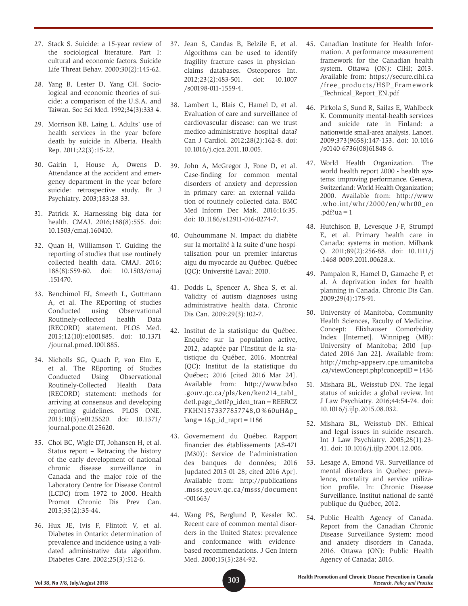- 27. Stack S. Suicide: a 15-year review of the sociological literature. Part I: cultural and economic factors. Suicide Life Threat Behav. 2000;30(2):145-62.
- 28. Yang B, Lester D, Yang CH. Sociological and economic theories of suicide: a comparison of the U.S.A. and Taiwan. Soc Sci Med. 1992;34(3):333-4.
- 29. Morrison KB, Laing L. Adults' use of health services in the year before death by suicide in Alberta. Health Rep. 2011;22(3):15-22.
- 30. Gairin I, House A, Owens D. Attendance at the accident and emergency department in the year before suicide: retrospective study. Br J Psychiatry. 2003;183:28-33.
- 31. Patrick K. Harnessing big data for health. CMAJ. 2016;188(8):555. doi: 10.1503/cmaj.160410.
- 32. Quan H, Williamson T. Guiding the reporting of studies that use routinely collected health data. CMAJ. 2016; 188(8):559-60. doi: 10.1503/cmaj .151470.
- 33. Benchimol EI, Smeeth L, Guttmann A, et al. The REporting of studies Conducted using Observational Routinely-collected health Data (RECORD) statement. PLOS Med. 2015;12(10):e1001885. doi: 10.1371 /journal.pmed.1001885.
- 34. Nicholls SG, Quach P, von Elm E, et al. The REporting of Studies Conducted Using Observational Routinely-Collected Health Data (RECORD) statement: methods for arriving at consensus and developing reporting guidelines. PLOS ONE. 2015;10(5):e0125620. doi: 10.1371/ journal.pone.0125620.
- 35. Choi BC, Wigle DT, Johansen H, et al. Status report – Retracing the history of the early development of national chronic disease surveillance in Canada and the major role of the Laboratory Centre for Disease Control (LCDC) from 1972 to 2000. Health Promot Chronic Dis Prev Can. 2015;35(2):35-44.
- 36. Hux JE, Ivis F, Flintoft V, et al. Diabetes in Ontario: determination of prevalence and incidence using a validated administrative data algorithm. Diabetes Care. 2002;25(3):512-6.
- 37. Jean S, Candas B, Belzile E, et al. Algorithms can be used to identify fragility fracture cases in physicianclaims databases. Osteoporos Int. 2012;23(2):483-501. doi: 10.1007 /s00198-011-1559-4.
- 38. Lambert L, Blais C, Hamel D, et al. Evaluation of care and surveillance of cardiovascular disease: can we trust medico-administrative hospital data? Can J Cardiol. 2012;28(2):162-8. doi: 10.1016/j.cjca.2011.10.005.
- 39. John A, McGregor J, Fone D, et al. Case-finding for common mental disorders of anxiety and depression in primary care: an external validation of routinely collected data. BMC Med Inform Dec Mak. 2016;16:35. doi: 10.1186/s12911-016-0274-7.
- 40. Ouhoummane N. Impact du diabète sur la mortalité à la suite d'une hospitalisation pour un premier infarctus aigu du myocarde au Québec. Québec (QC): Université Laval; 2010.
- 41. Dodds L, Spencer A, Shea S, et al. Validity of autism diagnoses using administrative health data. Chronic Dis Can. 2009;29(3):102-7.
- 42. Institut de la statistique du Québec. Enquête sur la population active, 2012, adaptée par l'Institut de la statistique du Québec, 2016. Montréal (QC): Institut de la statistique du Québec; 2016 [cited 2016 Mar 24]. Available from: http://www.bdso .gouv.qc.ca/pls/ken/ken214\_tabl\_ detl.page\_detl?p\_iden\_tran=REERCZ FKHN1573377857748,O%60uH&p\_  $lang = 1&p_id_raprt = 1186$
- 43. Governement du Québec. Rapport financier des établissements (AS-471 (M30)): Service de l'administration des banques de données; 2016 [updated 2015-01-28; cited 2016 Apr]. Available from: http://publications .msss.gouv.qc.ca/msss/document -001663/
- 44. Wang PS, Berglund P, Kessler RC. Recent care of common mental disorders in the United States: prevalence and conformance with evidencebased recommendations. J Gen Intern Med. 2000;15(5):284-92.
- 45. Canadian Institute for Health Information. A performance measurement framework for the Canadian health system. Ottawa (ON): CIHI; 2013. Available from: https://secure.cihi.ca /free\_products/HSP\_Framework \_Technical\_Report\_EN.pdf
- 46. Pirkola S, Sund R, Sailas E, Wahlbeck K. Community mental-health services and suicide rate in Finland: a nationwide small-area analysis. Lancet. 2009;373(9658):147-153. doi: 10.1016 /s0140-6736(08)61848-6.
- 47. World Health Organization. The world health report 2000 - health systems: improving performance. Geneva, Switzerland: World Health Organization; 2000. Available from: http://www .who.int/whr/2000/en/whr00\_en  $.pdf?ua = 1$
- 48. Hutchison B, Levesque J-F, Strumpf E, et al. Primary health care in Canada: systems in motion. Milbank Q. 2011;89(2):256-88. doi: 10.1111/j .1468-0009.2011.00628.x.
- 49. Pampalon R, Hamel D, Gamache P, et al. A deprivation index for health planning in Canada. Chronic Dis Can. 2009;29(4):178-91.
- 50. University of Manitoba, Community Health Sciences, Faculty of Medicine. Concept: Elixhauser Comorbidity Index [Internet]. Winnipeg (MB): University of Manitoba; 2010 [updated 2016 Jan 22]. Available from: http://mchp-appserv.cpe.umanitoba .ca/viewConcept.php?conceptID=1436
- 51. Mishara BL, Weisstub DN. The legal status of suicide: a global review. Int J Law Psychiatry. 2016;44:54-74. doi: 10.1016/j.ijlp.2015.08.032.
- 52. Mishara BL, Weisstub DN. Ethical and legal issues in suicide research. Int J Law Psychiatry. 2005;28(1):23- 41. doi: 10.1016/j.ijlp.2004.12.006.
- 53. Lesage A, Emond VR. Surveillance of mental disorders in Quebec: prevalence, mortality and service utilization profile. In: Chronic Disease Surveillance. Institut national de santé publique du Québec, 2012.
- 54. Public Health Agency of Canada. Report from the Canadian Chronic Disease Surveillance System: mood and anxiety disorders in Canada, 2016. Ottawa (ON): Public Health Agency of Canada; 2016.